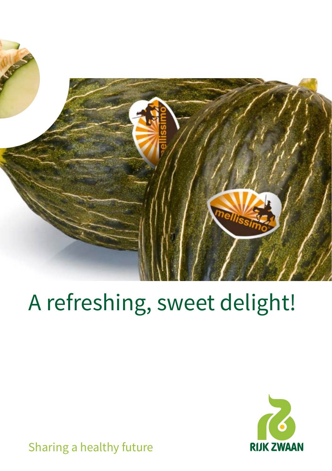

# A refreshing, sweet delight!



Sharing a healthy future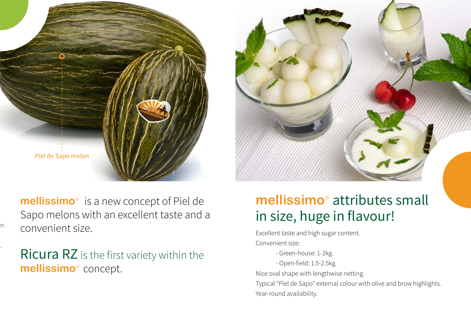

**mellissimo**<sup>®</sup> is a new concept of Piel de Sapo melons with an excellent taste and a convenient size.

 $\overline{\phantom{a}}$ 

Ricura RZ is the first variety within the **mellissimo** concept.

Ricura RZ is the first variety within the mellissimo<sup>®</sup> concept.

## **mellissimo**<sup>®</sup> attributes small in size, huge in flavour!

Excellent taste and high sugar content. Convenient size:

- Green-house: 1-2kg.
- Open-field: 1.5-2.5kg.

Nice oval shape with lengthwise netting.

Typical "Piel de Sapo" external colour with olive and brow highlights. Year-round availability.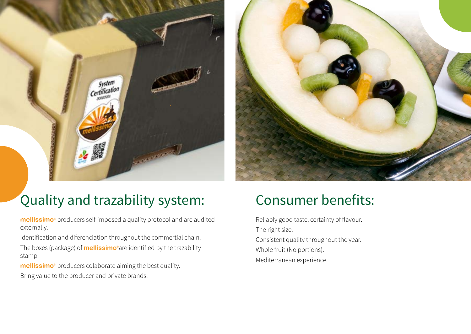



## Quality and trazability system: Consumer benefits:

**mellissimo**<sup>®</sup> producers self-imposed a quality protocol and are audited externally.

Identification and diferenciation throughout the commertial chain. The boxes (package) of **mellissimo**®are identified by the trazability stamp.

**mellissimo**<sup>o</sup> producers colaborate aiming the best quality. Bring value to the producer and private brands.

Reliably good taste, certainty of flavour. The right size. Consistent quality throughout the year. Whole fruit (No portions). Mediterranean experience.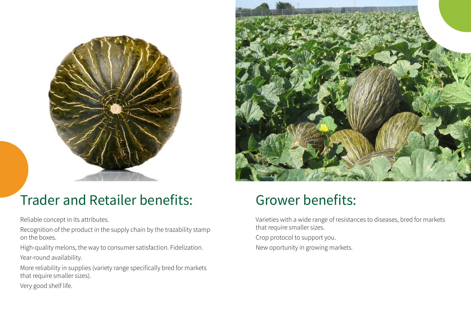



# Trader and Retailer benefits: Grower benefits:

Reliable concept in its attributes.

Recognition of the product in the supply chain by the trazability stamp on the boxes.

High-quality melons, the way to consumer satisfaction. Fidelization. Year-round availability.

More reliability in supplies (variety range specifically bred for markets that require smaller sizes).

Very good shelf life.

Varieties with a wide range of resistances to diseases, bred for markets that require smaller sizes.

Crop protocol to support you.

New oportunity in growing markets.